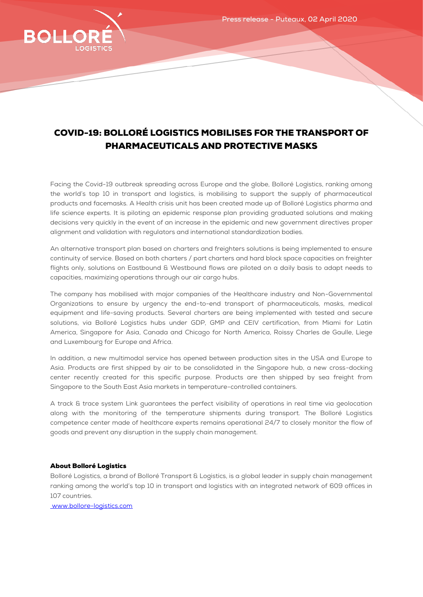

## COVID-19: BOLLORÉ LOGISTICS MOBILISES FOR THE TRANSPORT OF PHARMACEUTICALS AND PROTECTIVE MASKS

Facing the Covid-19 outbreak spreading across Europe and the globe, Bolloré Logistics, ranking among the world's top 10 in transport and logistics, is mobilising to support the supply of pharmaceutical products and facemasks. A Health crisis unit has been created made up of Bolloré Logistics pharma and life science experts. It is piloting an epidemic response plan providing graduated solutions and making decisions very quickly in the event of an increase in the epidemic and new government directives proper alignment and validation with regulators and international standardization bodies.

An alternative transport plan based on charters and freighters solutions is being implemented to ensure continuity of service. Based on both charters / part charters and hard block space capacities on freighter flights only, solutions on Eastbound & Westbound flows are piloted on a daily basis to adapt needs to capacities, maximizing operations through our air cargo hubs.

The company has mobilised with major companies of the Healthcare industry and Non-Governmental Organizations to ensure by urgency the end-to-end transport of pharmaceuticals, masks, medical equipment and life-saving products. Several charters are being implemented with tested and secure solutions, via Bolloré Logistics hubs under GDP, GMP and CEIV certification, from Miami for Latin America, Singapore for Asia, Canada and Chicago for North America, Roissy Charles de Gaulle, Liege and Luxembourg for Europe and Africa.

In addition, a new multimodal service has opened between production sites in the USA and Europe to Asia. Products are first shipped by air to be consolidated in the Singapore hub, a new cross-docking center recently created for this specific purpose. Products are then shipped by sea freight from Singapore to the South East Asia markets in temperature-controlled containers.

A track & trace system Link guarantees the perfect visibility of operations in real time via geolocation along with the monitoring of the temperature shipments during transport. The Bolloré Logistics competence center made of healthcare experts remains operational 24/7 to closely monitor the flow of goods and prevent any disruption in the supply chain management.

## About Bolloré Logistics

Bolloré Logistics, a brand of Bolloré Transport & Logistics, is a global leader in supply chain management ranking among the world's top 10 in transport and logistics with an integrated network of 609 offices in 107 countries.

[www.bollore-logistics.com](http://www.bollore-logistics.com/)